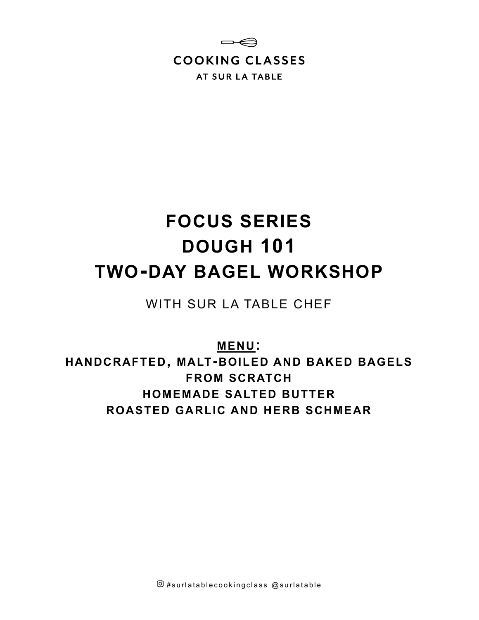

# **FOCUS SERIES DOUGH 101 TWO-DAY BAGEL WORKSHOP**

WITH SUR LA TABLE CHEF

**MENU:**

**HANDCRAFTED, MALT-BOILED AND BAKED BAGELS FROM SCRATCH HOMEMADE SALTED BUTTER ROASTED GARLIC AND HERB SCHMEAR**

 $\overline{\omega}$  #surlatablecookingclass  $\omega$ surlatable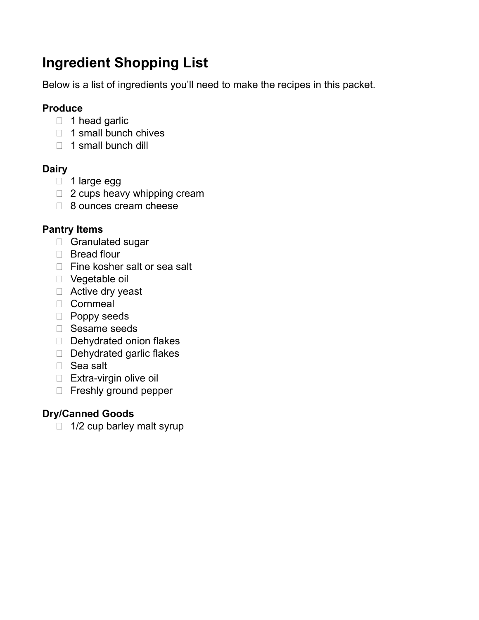# **Ingredient Shopping List**

Below is a list of ingredients you'll need to make the recipes in this packet.

# **Produce**

- $\Box$  1 head garlic
- $\Box$  1 small bunch chives
- $\Box$  1 small bunch dill

# **Dairy**

- 1 large egg
- □ 2 cups heavy whipping cream
- □ 8 ounces cream cheese

# **Pantry Items**

- Granulated sugar
- □ Bread flour
- □ Fine kosher salt or sea salt
- □ Vegetable oil
- □ Active dry yeast
- Cornmeal
- **Poppy seeds**
- □ Sesame seeds
- Dehydrated onion flakes
- Dehydrated garlic flakes
- □ Sea salt
- □ Extra-virgin olive oil
- Freshly ground pepper

# **Dry/Canned Goods**

 $\Box$  1/2 cup barley malt syrup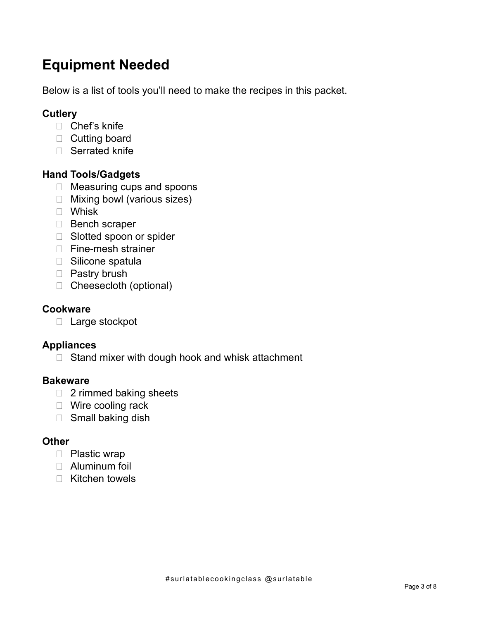# **Equipment Needed**

Below is a list of tools you'll need to make the recipes in this packet.

# **Cutlery**

- □ Chef's knife
- D Cutting board
- □ Serrated knife

# **Hand Tools/Gadgets**

- □ Measuring cups and spoons
- □ Mixing bowl (various sizes)
- Whisk
- Bench scraper
- □ Slotted spoon or spider
- □ Fine-mesh strainer
- □ Silicone spatula
- D Pastry brush
- □ Cheesecloth (optional)

### **Cookware**

 $\Box$  Large stockpot

# **Appliances**

 $\Box$  Stand mixer with dough hook and whisk attachment

# **Bakeware**

- □ 2 rimmed baking sheets
- □ Wire cooling rack
- $\Box$  Small baking dish

# **Other**

- D Plastic wrap
- Aluminum foil
- □ Kitchen towels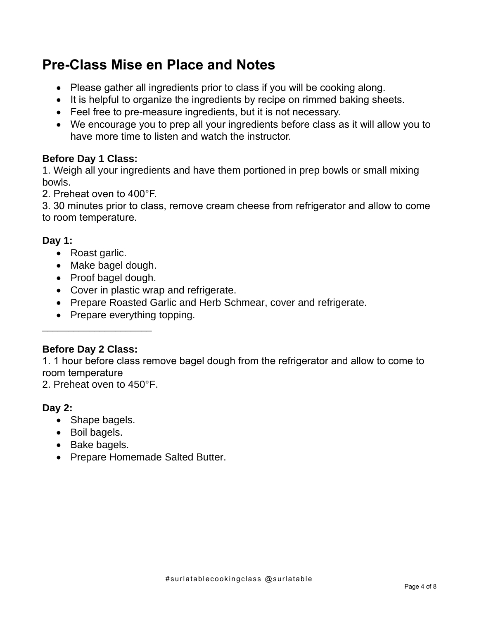# **Pre-Class Mise en Place and Notes**

- Please gather all ingredients prior to class if you will be cooking along.
- It is helpful to organize the ingredients by recipe on rimmed baking sheets.
- Feel free to pre-measure ingredients, but it is not necessary.
- We encourage you to prep all your ingredients before class as it will allow you to have more time to listen and watch the instructor.

# **Before Day 1 Class:**

1. Weigh all your ingredients and have them portioned in prep bowls or small mixing bowls.

2. Preheat oven to 400°F.

3. 30 minutes prior to class, remove cream cheese from refrigerator and allow to come to room temperature.

# **Day 1:**

- Roast garlic.
- Make bagel dough.
- Proof bagel dough.
- Cover in plastic wrap and refrigerate.
- Prepare Roasted Garlic and Herb Schmear, cover and refrigerate.
- Prepare everything topping.

# **Before Day 2 Class:**

 $\mathcal{L}_\text{max}$  , where  $\mathcal{L}_\text{max}$  , we have the set of  $\mathcal{L}_\text{max}$ 

1. 1 hour before class remove bagel dough from the refrigerator and allow to come to room temperature

2. Preheat oven to 450°F.

# **Day 2:**

- Shape bagels.
- Boil bagels.
- Bake bagels.
- Prepare Homemade Salted Butter.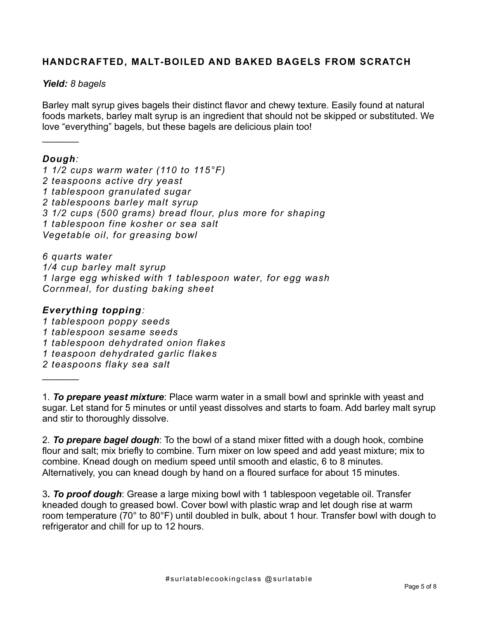#### **HANDCRAFTED, MALT-BOILED AND BAKED BAGELS FROM SCRATCH**

#### *Yield: 8 bagels*

Barley malt syrup gives bagels their distinct flavor and chewy texture. Easily found at natural foods markets, barley malt syrup is an ingredient that should not be skipped or substituted. We love "everything" bagels, but these bagels are delicious plain too!

#### *Dough:*

 $\frac{1}{2}$ 

 $\frac{1}{2}$ 

*1 1/2 cups warm water (110 to 115°F) 2 teaspoons active dry yeast 1 tablespoon granulated sugar 2 tablespoons barley malt syrup 3 1/2 cups (500 grams) bread flour, plus more for shaping 1 tablespoon fine kosher or sea salt Vegetable oil, for greasing bowl*

*6 quarts water 1/4 cup barley malt syrup 1 large egg whisked with 1 tablespoon water, for egg wash Cornmeal, for dusting baking sheet*

#### *Everything topping:*

*1 tablespoon poppy seeds 1 tablespoon sesame seeds 1 tablespoon dehydrated onion flakes 1 teaspoon dehydrated garlic flakes 2 teaspoons flaky sea salt*

1. *To prepare yeast mixture*: Place warm water in a small bowl and sprinkle with yeast and sugar. Let stand for 5 minutes or until yeast dissolves and starts to foam. Add barley malt syrup and stir to thoroughly dissolve.

2. *To prepare bagel dough*: To the bowl of a stand mixer fitted with a dough hook, combine flour and salt; mix briefly to combine. Turn mixer on low speed and add yeast mixture; mix to combine. Knead dough on medium speed until smooth and elastic, 6 to 8 minutes. Alternatively, you can knead dough by hand on a floured surface for about 15 minutes.

3*. To proof dough*: Grease a large mixing bowl with 1 tablespoon vegetable oil. Transfer kneaded dough to greased bowl. Cover bowl with plastic wrap and let dough rise at warm room temperature (70° to 80°F) until doubled in bulk, about 1 hour. Transfer bowl with dough to refrigerator and chill for up to 12 hours.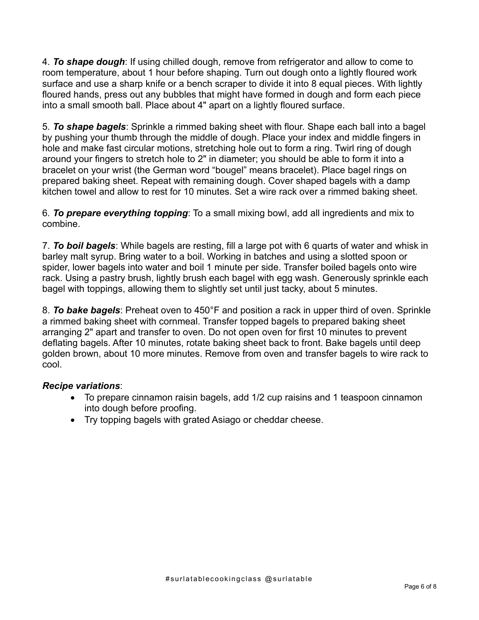4. *To shape dough*: If using chilled dough, remove from refrigerator and allow to come to room temperature, about 1 hour before shaping. Turn out dough onto a lightly floured work surface and use a sharp knife or a bench scraper to divide it into 8 equal pieces. With lightly floured hands, press out any bubbles that might have formed in dough and form each piece into a small smooth ball. Place about 4" apart on a lightly floured surface.

5. *To shape bagels*: Sprinkle a rimmed baking sheet with flour. Shape each ball into a bagel by pushing your thumb through the middle of dough. Place your index and middle fingers in hole and make fast circular motions, stretching hole out to form a ring. Twirl ring of dough around your fingers to stretch hole to 2" in diameter; you should be able to form it into a bracelet on your wrist (the German word "bougel" means bracelet). Place bagel rings on prepared baking sheet. Repeat with remaining dough. Cover shaped bagels with a damp kitchen towel and allow to rest for 10 minutes. Set a wire rack over a rimmed baking sheet.

6. *To prepare everything topping*: To a small mixing bowl, add all ingredients and mix to combine.

7. *To boil bagels*: While bagels are resting, fill a large pot with 6 quarts of water and whisk in barley malt syrup. Bring water to a boil. Working in batches and using a slotted spoon or spider, lower bagels into water and boil 1 minute per side. Transfer boiled bagels onto wire rack. Using a pastry brush, lightly brush each bagel with egg wash. Generously sprinkle each bagel with toppings, allowing them to slightly set until just tacky, about 5 minutes.

8. *To bake bagels*: Preheat oven to 450°F and position a rack in upper third of oven. Sprinkle a rimmed baking sheet with cornmeal. Transfer topped bagels to prepared baking sheet arranging 2" apart and transfer to oven. Do not open oven for first 10 minutes to prevent deflating bagels. After 10 minutes, rotate baking sheet back to front. Bake bagels until deep golden brown, about 10 more minutes. Remove from oven and transfer bagels to wire rack to cool.

#### *Recipe variations*:

- To prepare cinnamon raisin bagels, add 1/2 cup raisins and 1 teaspoon cinnamon into dough before proofing.
- Try topping bagels with grated Asiago or cheddar cheese.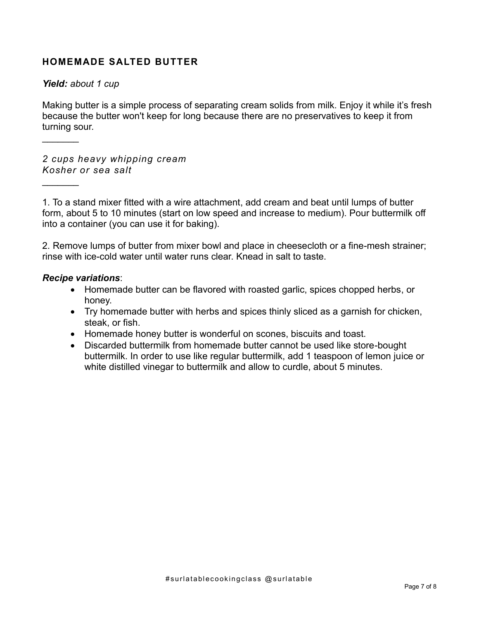#### **HOMEMADE SALTED BUTTER**

#### *Yield: about 1 cup*

 $\frac{1}{2}$ 

 $\frac{1}{2}$ 

Making butter is a simple process of separating cream solids from milk. Enjoy it while it's fresh because the butter won't keep for long because there are no preservatives to keep it from turning sour.

*2 cups heavy whipping cream Kosher or sea salt*

1. To a stand mixer fitted with a wire attachment, add cream and beat until lumps of butter form, about 5 to 10 minutes (start on low speed and increase to medium). Pour buttermilk off into a container (you can use it for baking).

2. Remove lumps of butter from mixer bowl and place in cheesecloth or a fine-mesh strainer; rinse with ice-cold water until water runs clear. Knead in salt to taste.

#### *Recipe variations*:

- Homemade butter can be flavored with roasted garlic, spices chopped herbs, or honey.
- Try homemade butter with herbs and spices thinly sliced as a garnish for chicken, steak, or fish.
- Homemade honey butter is wonderful on scones, biscuits and toast.
- Discarded buttermilk from homemade butter cannot be used like store-bought buttermilk. In order to use like regular buttermilk, add 1 teaspoon of lemon juice or white distilled vinegar to buttermilk and allow to curdle, about 5 minutes.